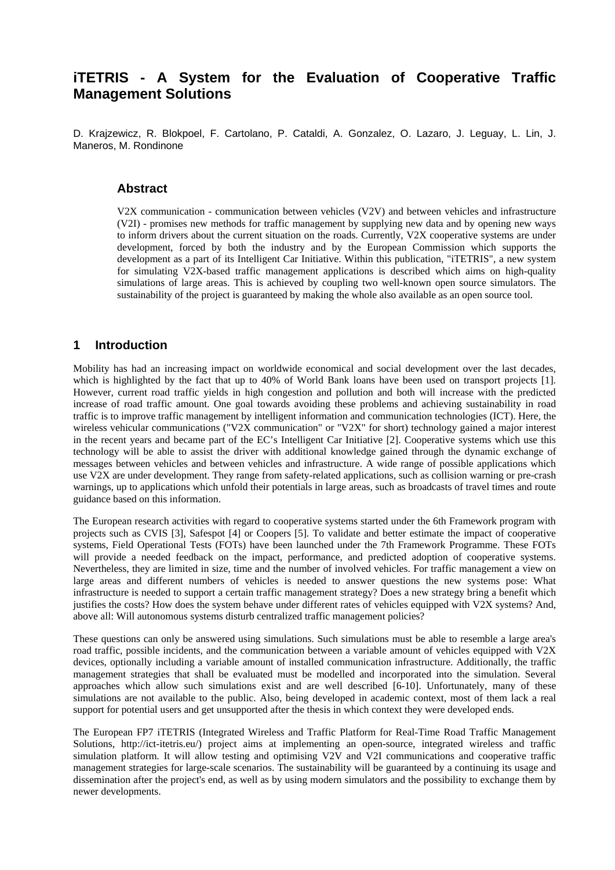# **iTETRIS - A System for the Evaluation of Cooperative Traffic Management Solutions**

D. Krajzewicz, R. Blokpoel, F. Cartolano, P. Cataldi, A. Gonzalez, O. Lazaro, J. Leguay, L. Lin, J. Maneros, M. Rondinone

#### **Abstract**

V2X communication - communication between vehicles (V2V) and between vehicles and infrastructure (V2I) - promises new methods for traffic management by supplying new data and by opening new ways to inform drivers about the current situation on the roads. Currently, V2X cooperative systems are under development, forced by both the industry and by the European Commission which supports the development as a part of its Intelligent Car Initiative. Within this publication, "iTETRIS", a new system for simulating V2X-based traffic management applications is described which aims on high-quality simulations of large areas. This is achieved by coupling two well-known open source simulators. The sustainability of the project is guaranteed by making the whole also available as an open source tool.

### **1 Introduction**

Mobility has had an increasing impact on worldwide economical and social development over the last decades, which is highlighted by the fact that up to 40% of World Bank loans have been used on transport projects [1]. However, current road traffic yields in high congestion and pollution and both will increase with the predicted increase of road traffic amount. One goal towards avoiding these problems and achieving sustainability in road traffic is to improve traffic management by intelligent information and communication technologies (ICT). Here, the wireless vehicular communications ("V2X communication" or "V2X" for short) technology gained a major interest in the recent years and became part of the EC's Intelligent Car Initiative [2]. Cooperative systems which use this technology will be able to assist the driver with additional knowledge gained through the dynamic exchange of messages between vehicles and between vehicles and infrastructure. A wide range of possible applications which use V2X are under development. They range from safety-related applications, such as collision warning or pre-crash warnings, up to applications which unfold their potentials in large areas, such as broadcasts of travel times and route guidance based on this information.

The European research activities with regard to cooperative systems started under the 6th Framework program with projects such as CVIS [3], Safespot [4] or Coopers [5]. To validate and better estimate the impact of cooperative systems, Field Operational Tests (FOTs) have been launched under the 7th Framework Programme. These FOTs will provide a needed feedback on the impact, performance, and predicted adoption of cooperative systems. Nevertheless, they are limited in size, time and the number of involved vehicles. For traffic management a view on large areas and different numbers of vehicles is needed to answer questions the new systems pose: What infrastructure is needed to support a certain traffic management strategy? Does a new strategy bring a benefit which justifies the costs? How does the system behave under different rates of vehicles equipped with V2X systems? And, above all: Will autonomous systems disturb centralized traffic management policies?

These questions can only be answered using simulations. Such simulations must be able to resemble a large area's road traffic, possible incidents, and the communication between a variable amount of vehicles equipped with V2X devices, optionally including a variable amount of installed communication infrastructure. Additionally, the traffic management strategies that shall be evaluated must be modelled and incorporated into the simulation. Several approaches which allow such simulations exist and are well described [6-10]. Unfortunately, many of these simulations are not available to the public. Also, being developed in academic context, most of them lack a real support for potential users and get unsupported after the thesis in which context they were developed ends.

The European FP7 iTETRIS (Integrated Wireless and Traffic Platform for Real-Time Road Traffic Management Solutions, http://ict-itetris.eu/) project aims at implementing an open-source, integrated wireless and traffic simulation platform. It will allow testing and optimising V2V and V2I communications and cooperative traffic management strategies for large-scale scenarios. The sustainability will be guaranteed by a continuing its usage and dissemination after the project's end, as well as by using modern simulators and the possibility to exchange them by newer developments.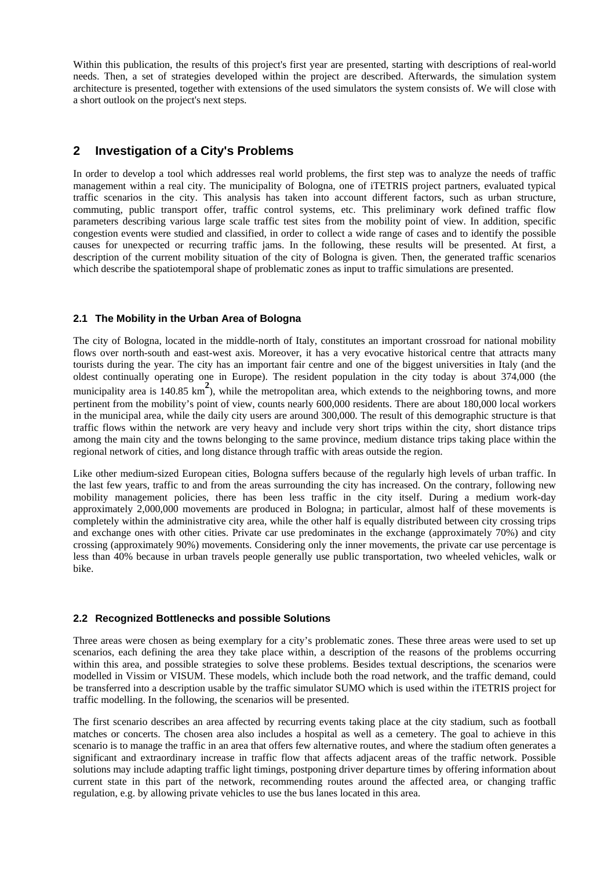Within this publication, the results of this project's first year are presented, starting with descriptions of real-world needs. Then, a set of strategies developed within the project are described. Afterwards, the simulation system architecture is presented, together with extensions of the used simulators the system consists of. We will close with a short outlook on the project's next steps.

### **2 Investigation of a City's Problems**

In order to develop a tool which addresses real world problems, the first step was to analyze the needs of traffic management within a real city. The municipality of Bologna, one of iTETRIS project partners, evaluated typical traffic scenarios in the city. This analysis has taken into account different factors, such as urban structure, commuting, public transport offer, traffic control systems, etc. This preliminary work defined traffic flow parameters describing various large scale traffic test sites from the mobility point of view. In addition, specific congestion events were studied and classified, in order to collect a wide range of cases and to identify the possible causes for unexpected or recurring traffic jams. In the following, these results will be presented. At first, a description of the current mobility situation of the city of Bologna is given. Then, the generated traffic scenarios which describe the spatiotemporal shape of problematic zones as input to traffic simulations are presented.

#### **2.1 The Mobility in the Urban Area of Bologna**

The city of Bologna, located in the middle-north of Italy, constitutes an important crossroad for national mobility flows over north-south and east-west axis. Moreover, it has a very evocative historical centre that attracts many tourists during the year. The city has an important fair centre and one of the biggest universities in Italy (and the oldest continually operating one in Europe). The resident population in the city today is about 374,000 (the municipality area is 140.85 km<sup>2</sup>), while the metropolitan area, which extends to the neighboring towns, and more pertinent from the mobility's point of view, counts nearly 600,000 residents. There are about 180,000 local workers in the municipal area, while the daily city users are around 300,000. The result of this demographic structure is that traffic flows within the network are very heavy and include very short trips within the city, short distance trips among the main city and the towns belonging to the same province, medium distance trips taking place within the regional network of cities, and long distance through traffic with areas outside the region.

Like other medium-sized European cities, Bologna suffers because of the regularly high levels of urban traffic. In the last few years, traffic to and from the areas surrounding the city has increased. On the contrary, following new mobility management policies, there has been less traffic in the city itself. During a medium work-day approximately 2,000,000 movements are produced in Bologna; in particular, almost half of these movements is completely within the administrative city area, while the other half is equally distributed between city crossing trips and exchange ones with other cities. Private car use predominates in the exchange (approximately 70%) and city crossing (approximately 90%) movements. Considering only the inner movements, the private car use percentage is less than 40% because in urban travels people generally use public transportation, two wheeled vehicles, walk or bike.

#### **2.2 Recognized Bottlenecks and possible Solutions**

Three areas were chosen as being exemplary for a city's problematic zones. These three areas were used to set up scenarios, each defining the area they take place within, a description of the reasons of the problems occurring within this area, and possible strategies to solve these problems. Besides textual descriptions, the scenarios were modelled in Vissim or VISUM. These models, which include both the road network, and the traffic demand, could be transferred into a description usable by the traffic simulator SUMO which is used within the iTETRIS project for traffic modelling. In the following, the scenarios will be presented.

The first scenario describes an area affected by recurring events taking place at the city stadium, such as football matches or concerts. The chosen area also includes a hospital as well as a cemetery. The goal to achieve in this scenario is to manage the traffic in an area that offers few alternative routes, and where the stadium often generates a significant and extraordinary increase in traffic flow that affects adjacent areas of the traffic network. Possible solutions may include adapting traffic light timings, postponing driver departure times by offering information about current state in this part of the network, recommending routes around the affected area, or changing traffic regulation, e.g. by allowing private vehicles to use the bus lanes located in this area.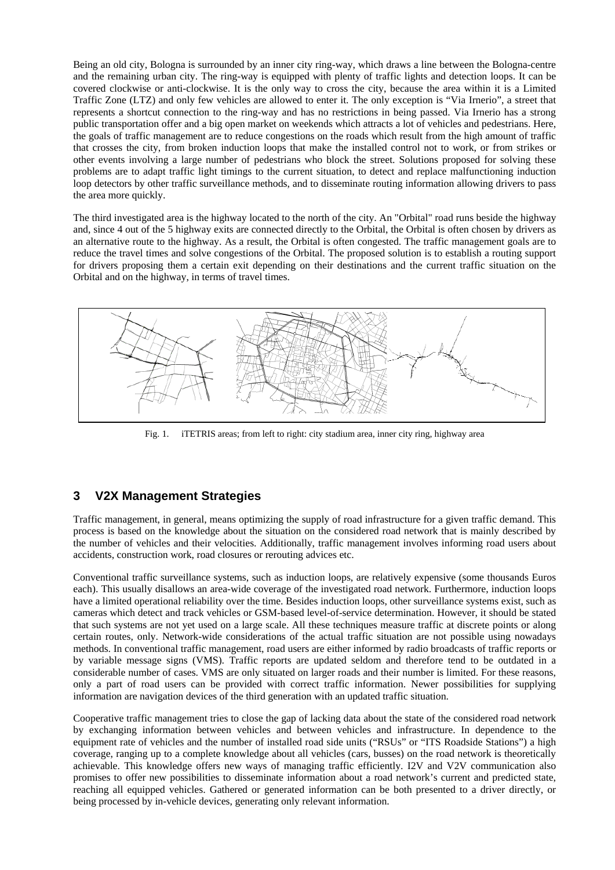Being an old city, Bologna is surrounded by an inner city ring-way, which draws a line between the Bologna-centre and the remaining urban city. The ring-way is equipped with plenty of traffic lights and detection loops. It can be covered clockwise or anti-clockwise. It is the only way to cross the city, because the area within it is a Limited Traffic Zone (LTZ) and only few vehicles are allowed to enter it. The only exception is "Via Irnerio", a street that represents a shortcut connection to the ring-way and has no restrictions in being passed. Via Irnerio has a strong public transportation offer and a big open market on weekends which attracts a lot of vehicles and pedestrians. Here, the goals of traffic management are to reduce congestions on the roads which result from the high amount of traffic that crosses the city, from broken induction loops that make the installed control not to work, or from strikes or other events involving a large number of pedestrians who block the street. Solutions proposed for solving these problems are to adapt traffic light timings to the current situation, to detect and replace malfunctioning induction loop detectors by other traffic surveillance methods, and to disseminate routing information allowing drivers to pass the area more quickly.

The third investigated area is the highway located to the north of the city. An "Orbital" road runs beside the highway and, since 4 out of the 5 highway exits are connected directly to the Orbital, the Orbital is often chosen by drivers as an alternative route to the highway. As a result, the Orbital is often congested. The traffic management goals are to reduce the travel times and solve congestions of the Orbital. The proposed solution is to establish a routing support for drivers proposing them a certain exit depending on their destinations and the current traffic situation on the Orbital and on the highway, in terms of travel times.



Fig. 1. iTETRIS areas; from left to right: city stadium area, inner city ring, highway area

# **3 V2X Management Strategies**

Traffic management, in general, means optimizing the supply of road infrastructure for a given traffic demand. This process is based on the knowledge about the situation on the considered road network that is mainly described by the number of vehicles and their velocities. Additionally, traffic management involves informing road users about accidents, construction work, road closures or rerouting advices etc.

Conventional traffic surveillance systems, such as induction loops, are relatively expensive (some thousands Euros each). This usually disallows an area-wide coverage of the investigated road network. Furthermore, induction loops have a limited operational reliability over the time. Besides induction loops, other surveillance systems exist, such as cameras which detect and track vehicles or GSM-based level-of-service determination. However, it should be stated that such systems are not yet used on a large scale. All these techniques measure traffic at discrete points or along certain routes, only. Network-wide considerations of the actual traffic situation are not possible using nowadays methods. In conventional traffic management, road users are either informed by radio broadcasts of traffic reports or by variable message signs (VMS). Traffic reports are updated seldom and therefore tend to be outdated in a considerable number of cases. VMS are only situated on larger roads and their number is limited. For these reasons, only a part of road users can be provided with correct traffic information. Newer possibilities for supplying information are navigation devices of the third generation with an updated traffic situation.

Cooperative traffic management tries to close the gap of lacking data about the state of the considered road network by exchanging information between vehicles and between vehicles and infrastructure. In dependence to the equipment rate of vehicles and the number of installed road side units ("RSUs" or "ITS Roadside Stations") a high coverage, ranging up to a complete knowledge about all vehicles (cars, busses) on the road network is theoretically achievable. This knowledge offers new ways of managing traffic efficiently. I2V and V2V communication also promises to offer new possibilities to disseminate information about a road network's current and predicted state, reaching all equipped vehicles. Gathered or generated information can be both presented to a driver directly, or being processed by in-vehicle devices, generating only relevant information.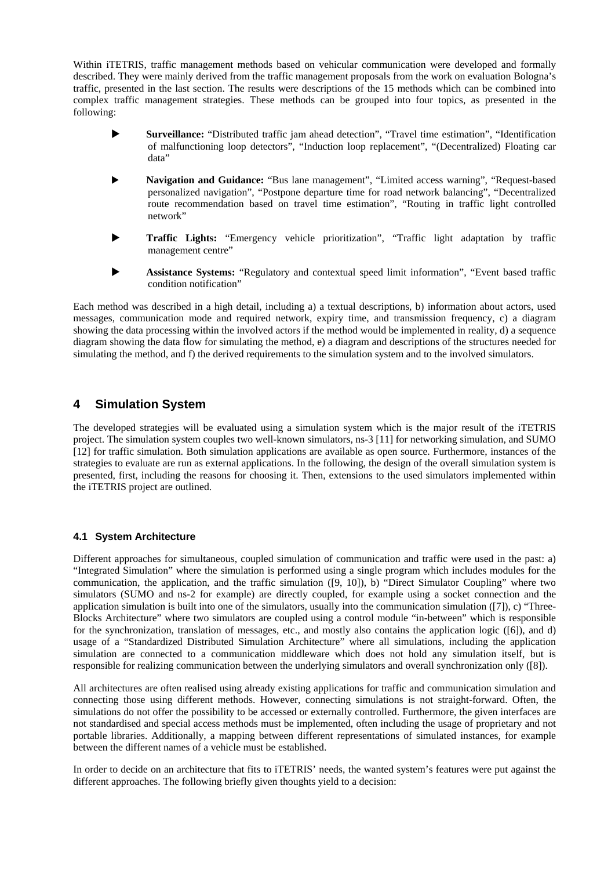Within iTETRIS, traffic management methods based on vehicular communication were developed and formally described. They were mainly derived from the traffic management proposals from the work on evaluation Bologna's traffic, presented in the last section. The results were descriptions of the 15 methods which can be combined into complex traffic management strategies. These methods can be grouped into four topics, as presented in the following:

- **Surveillance:** "Distributed traffic jam ahead detection", "Travel time estimation", "Identification of malfunctioning loop detectors", "Induction loop replacement", "(Decentralized) Floating car data"
- **Navigation and Guidance:** "Bus lane management", "Limited access warning", "Request-based personalized navigation", "Postpone departure time for road network balancing", "Decentralized route recommendation based on travel time estimation", "Routing in traffic light controlled network"
- **Traffic Lights:** "Emergency vehicle prioritization", "Traffic light adaptation by traffic management centre"
- **Assistance Systems:** "Regulatory and contextual speed limit information", "Event based traffic condition notification"

Each method was described in a high detail, including a) a textual descriptions, b) information about actors, used messages, communication mode and required network, expiry time, and transmission frequency, c) a diagram showing the data processing within the involved actors if the method would be implemented in reality, d) a sequence diagram showing the data flow for simulating the method, e) a diagram and descriptions of the structures needed for simulating the method, and f) the derived requirements to the simulation system and to the involved simulators.

### **4 Simulation System**

The developed strategies will be evaluated using a simulation system which is the major result of the iTETRIS project. The simulation system couples two well-known simulators, ns-3 [11] for networking simulation, and SUMO [12] for traffic simulation. Both simulation applications are available as open source. Furthermore, instances of the strategies to evaluate are run as external applications. In the following, the design of the overall simulation system is presented, first, including the reasons for choosing it. Then, extensions to the used simulators implemented within the iTETRIS project are outlined.

#### **4.1 System Architecture**

Different approaches for simultaneous, coupled simulation of communication and traffic were used in the past: a) "Integrated Simulation" where the simulation is performed using a single program which includes modules for the communication, the application, and the traffic simulation ([9, 10]), b) "Direct Simulator Coupling" where two simulators (SUMO and ns-2 for example) are directly coupled, for example using a socket connection and the application simulation is built into one of the simulators, usually into the communication simulation ([7]), c) "Three-Blocks Architecture" where two simulators are coupled using a control module "in-between" which is responsible for the synchronization, translation of messages, etc., and mostly also contains the application logic ([6]), and d) usage of a "Standardized Distributed Simulation Architecture" where all simulations, including the application simulation are connected to a communication middleware which does not hold any simulation itself, but is responsible for realizing communication between the underlying simulators and overall synchronization only ([8]).

All architectures are often realised using already existing applications for traffic and communication simulation and connecting those using different methods. However, connecting simulations is not straight-forward. Often, the simulations do not offer the possibility to be accessed or externally controlled. Furthermore, the given interfaces are not standardised and special access methods must be implemented, often including the usage of proprietary and not portable libraries. Additionally, a mapping between different representations of simulated instances, for example between the different names of a vehicle must be established.

In order to decide on an architecture that fits to iTETRIS' needs, the wanted system's features were put against the different approaches. The following briefly given thoughts yield to a decision: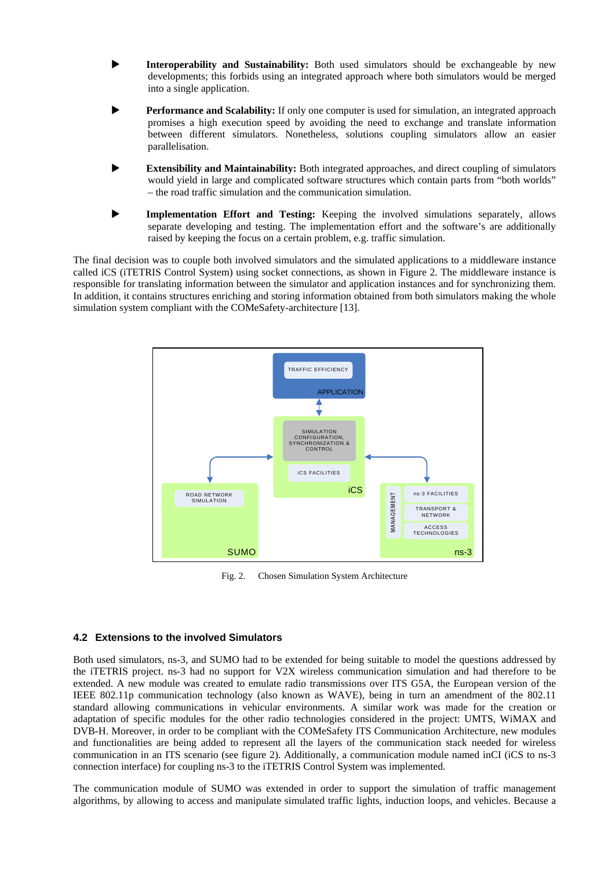- **Interoperability and Sustainability:** Both used simulators should be exchangeable by new developments; this forbids using an integrated approach where both simulators would be merged into a single application.
- **Performance and Scalability:** If only one computer is used for simulation, an integrated approach promises a high execution speed by avoiding the need to exchange and translate information between different simulators. Nonetheless, solutions coupling simulators allow an easier parallelisation.
- **Extensibility and Maintainability:** Both integrated approaches, and direct coupling of simulators would yield in large and complicated software structures which contain parts from "both worlds" – the road traffic simulation and the communication simulation.
- **Implementation Effort and Testing:** Keeping the involved simulations separately, allows separate developing and testing. The implementation effort and the software's are additionally raised by keeping the focus on a certain problem, e.g. traffic simulation.

The final decision was to couple both involved simulators and the simulated applications to a middleware instance called iCS (iTETRIS Control System) using socket connections, as shown in Figure 2. The middleware instance is responsible for translating information between the simulator and application instances and for synchronizing them. In addition, it contains structures enriching and storing information obtained from both simulators making the whole simulation system compliant with the COMeSafety-architecture [13].



Fig. 2. Chosen Simulation System Architecture

#### **4.2 Extensions to the involved Simulators**

Both used simulators, ns-3, and SUMO had to be extended for being suitable to model the questions addressed by the iTETRIS project. ns-3 had no support for V2X wireless communication simulation and had therefore to be extended. A new module was created to emulate radio transmissions over ITS G5A, the European version of the IEEE 802.11p communication technology (also known as WAVE), being in turn an amendment of the 802.11 standard allowing communications in vehicular environments. A similar work was made for the creation or adaptation of specific modules for the other radio technologies considered in the project: UMTS, WiMAX and DVB-H. Moreover, in order to be compliant with the COMeSafety ITS Communication Architecture, new modules and functionalities are being added to represent all the layers of the communication stack needed for wireless communication in an ITS scenario (see figure 2). Additionally, a communication module named inCI (iCS to ns-3 connection interface) for coupling ns-3 to the iTETRIS Control System was implemented.

The communication module of SUMO was extended in order to support the simulation of traffic management algorithms, by allowing to access and manipulate simulated traffic lights, induction loops, and vehicles. Because a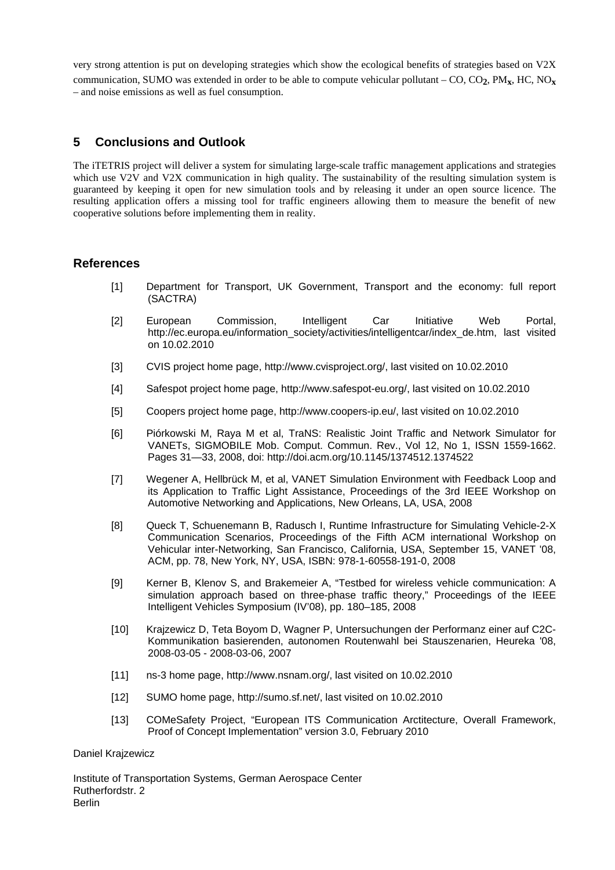very strong attention is put on developing strategies which show the ecological benefits of strategies based on V2X communication, SUMO was extended in order to be able to compute vehicular pollutant – CO,  $CO_2$ ,  $PM_x$ , HC,  $NO_x$ – and noise emissions as well as fuel consumption.

## **5 Conclusions and Outlook**

The iTETRIS project will deliver a system for simulating large-scale traffic management applications and strategies which use V2V and V2X communication in high quality. The sustainability of the resulting simulation system is guaranteed by keeping it open for new simulation tools and by releasing it under an open source licence. The resulting application offers a missing tool for traffic engineers allowing them to measure the benefit of new cooperative solutions before implementing them in reality.

### **References**

- [1] Department for Transport, UK Government, Transport and the economy: full report (SACTRA)
- [2] European Commission, Intelligent Car Initiative Web Portal, http://ec.europa.eu/information\_society/activities/intelligentcar/index\_de.htm, last visited on 10.02.2010
- [3] CVIS project home page, http://www.cvisproject.org/, last visited on 10.02.2010
- [4] Safespot project home page, http://www.safespot-eu.org/, last visited on 10.02.2010
- [5] Coopers project home page, http://www.coopers-ip.eu/, last visited on 10.02.2010
- [6] Piórkowski M, Raya M et al, TraNS: Realistic Joint Traffic and Network Simulator for VANETs, SIGMOBILE Mob. Comput. Commun. Rev., Vol 12, No 1, ISSN 1559-1662. Pages 31—33, 2008, doi: http://doi.acm.org/10.1145/1374512.1374522
- [7] Wegener A, Hellbrück M, et al, VANET Simulation Environment with Feedback Loop and its Application to Traffic Light Assistance, Proceedings of the 3rd IEEE Workshop on Automotive Networking and Applications, New Orleans, LA, USA, 2008
- [8] Queck T, Schuenemann B, Radusch I, Runtime Infrastructure for Simulating Vehicle-2-X Communication Scenarios, Proceedings of the Fifth ACM international Workshop on Vehicular inter-Networking, San Francisco, California, USA, September 15, VANET '08, ACM, pp. 78, New York, NY, USA, ISBN: 978-1-60558-191-0, 2008
- [9] Kerner B, Klenov S, and Brakemeier A, "Testbed for wireless vehicle communication: A simulation approach based on three-phase traffic theory," Proceedings of the IEEE Intelligent Vehicles Symposium (IV'08), pp. 180–185, 2008
- [10] Krajzewicz D, Teta Boyom D, Wagner P, Untersuchungen der Performanz einer auf C2C-Kommunikation basierenden, autonomen Routenwahl bei Stauszenarien, Heureka '08, 2008-03-05 - 2008-03-06, 2007
- [11] ns-3 home page, http://www.nsnam.org/, last visited on 10.02.2010
- [12] SUMO home page, http://sumo.sf.net/, last visited on 10.02.2010
- [13] COMeSafety Project, "European ITS Communication Arctitecture, Overall Framework, Proof of Concept Implementation" version 3.0, February 2010

#### Daniel Krajzewicz

Institute of Transportation Systems, German Aerospace Center Rutherfordstr. 2 Berlin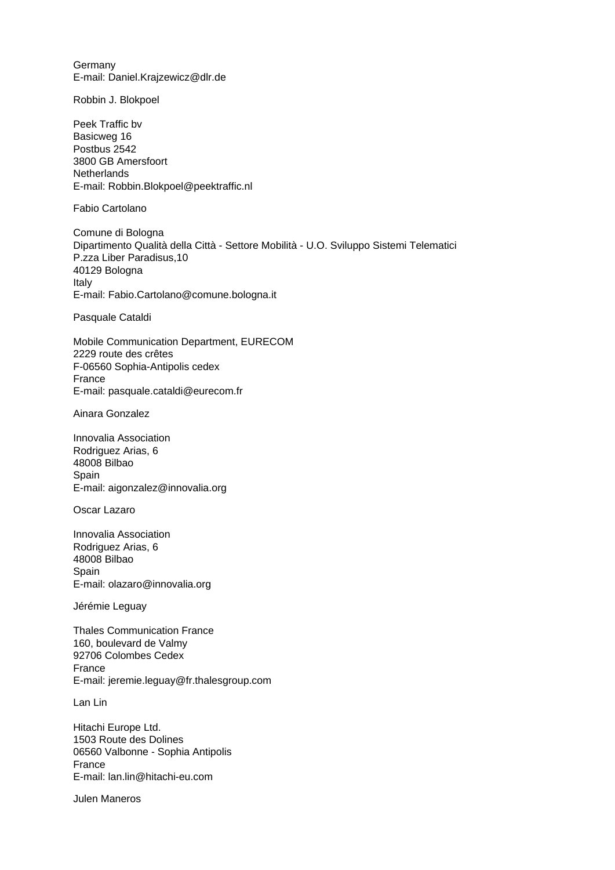**Germany** E-mail: Daniel.Krajzewicz@dlr.de

Robbin J. Blokpoel

Peek Traffic bv Basicweg 16 Postbus 2542 3800 GB Amersfoort **Netherlands** E-mail: Robbin.Blokpoel@peektraffic.nl

Fabio Cartolano

Comune di Bologna Dipartimento Qualità della Città - Settore Mobilità - U.O. Sviluppo Sistemi Telematici P.zza Liber Paradisus,10 40129 Bologna Italy E-mail: Fabio.Cartolano@comune.bologna.it

Pasquale Cataldi

Mobile Communication Department, EURECOM 2229 route des crêtes F-06560 Sophia-Antipolis cedex France E-mail: pasquale.cataldi@eurecom.fr

Ainara Gonzalez

Innovalia Association Rodriguez Arias, 6 48008 Bilbao **Spain** E-mail: aigonzalez@innovalia.org

Oscar Lazaro

Innovalia Association Rodriguez Arias, 6 48008 Bilbao **Spain** E-mail: olazaro@innovalia.org

Jérémie Leguay

Thales Communication France 160, boulevard de Valmy 92706 Colombes Cedex France E-mail: jeremie.leguay@fr.thalesgroup.com

Lan Lin

Hitachi Europe Ltd. 1503 Route des Dolines 06560 Valbonne - Sophia Antipolis France E-mail: lan.lin@hitachi-eu.com

Julen Maneros